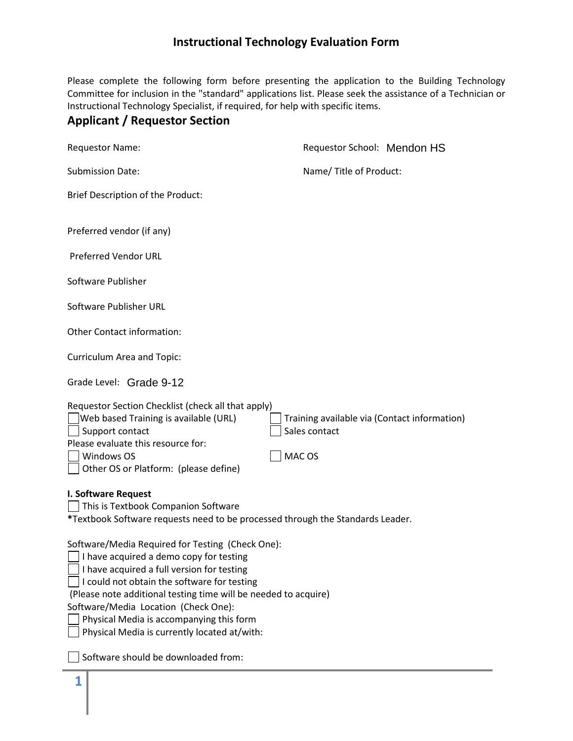Please complete the following form before presenting the application to the Building Technology Committee for inclusion in the "standard" applications list. Please seek the assistance of a Technician or Instructional Technology Specialist, if required, for help with specific items.

## **Applicant / Requestor Section**

| <b>Requestor Name:</b>                                                                                                                                                                                                                                                                                                                                                                              | Requestor School: Mendon HS                                             |  |
|-----------------------------------------------------------------------------------------------------------------------------------------------------------------------------------------------------------------------------------------------------------------------------------------------------------------------------------------------------------------------------------------------------|-------------------------------------------------------------------------|--|
| <b>Submission Date:</b>                                                                                                                                                                                                                                                                                                                                                                             | Name/ Title of Product:                                                 |  |
| Brief Description of the Product:                                                                                                                                                                                                                                                                                                                                                                   |                                                                         |  |
| Preferred vendor (if any)                                                                                                                                                                                                                                                                                                                                                                           |                                                                         |  |
| Preferred Vendor URL                                                                                                                                                                                                                                                                                                                                                                                |                                                                         |  |
| Software Publisher                                                                                                                                                                                                                                                                                                                                                                                  |                                                                         |  |
| Software Publisher URL                                                                                                                                                                                                                                                                                                                                                                              |                                                                         |  |
| Other Contact information:                                                                                                                                                                                                                                                                                                                                                                          |                                                                         |  |
| Curriculum Area and Topic:                                                                                                                                                                                                                                                                                                                                                                          |                                                                         |  |
| Grade Level: Grade 9-12                                                                                                                                                                                                                                                                                                                                                                             |                                                                         |  |
| Requestor Section Checklist (check all that apply)<br>Web based Training is available (URL)<br>Support contact<br>Please evaluate this resource for:<br>Windows OS<br>Other OS or Platform: (please define)                                                                                                                                                                                         | Training available via (Contact information)<br>Sales contact<br>MAC OS |  |
| I. Software Request<br>This is Textbook Companion Software<br>*Textbook Software requests need to be processed through the Standards Leader.                                                                                                                                                                                                                                                        |                                                                         |  |
| Software/Media Required for Testing (Check One):<br>    I have acquired a demo copy for testing<br>I have acquired a full version for testing<br>I could not obtain the software for testing<br>(Please note additional testing time will be needed to acquire)<br>Software/Media Location (Check One):<br>Physical Media is accompanying this form<br>Physical Media is currently located at/with: |                                                                         |  |
| Software should be downloaded from:                                                                                                                                                                                                                                                                                                                                                                 |                                                                         |  |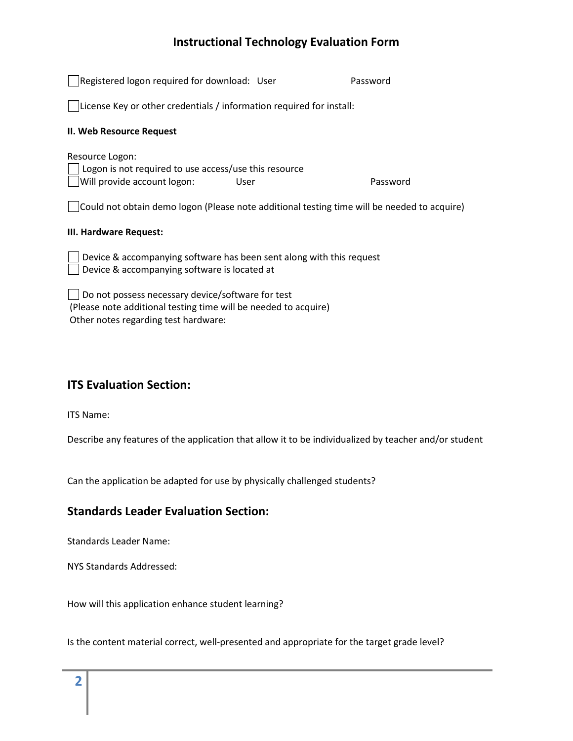| Registered logon required for download: User                                                                                                                 | Password |
|--------------------------------------------------------------------------------------------------------------------------------------------------------------|----------|
| License Key or other credentials / information required for install:                                                                                         |          |
| II. Web Resource Request                                                                                                                                     |          |
| Resource Logon:<br>Logon is not required to use access/use this resource<br>Will provide account logon:<br>User                                              | Password |
| Could not obtain demo logon (Please note additional testing time will be needed to acquire)                                                                  |          |
| III. Hardware Request:                                                                                                                                       |          |
| Device & accompanying software has been sent along with this request<br>Device & accompanying software is located at                                         |          |
| Do not possess necessary device/software for test<br>(Please note additional testing time will be needed to acquire)<br>Other notes regarding test hardware: |          |

#### **ITS Evaluation Section:**

ITS Name:

Describe any features of the application that allow it to be individualized by teacher and/or student

Can the application be adapted for use by physically challenged students?

### **Standards Leader Evaluation Section:**

Standards Leader Name:

NYS Standards Addressed:

How will this application enhance student learning?

Is the content material correct, well-presented and appropriate for the target grade level?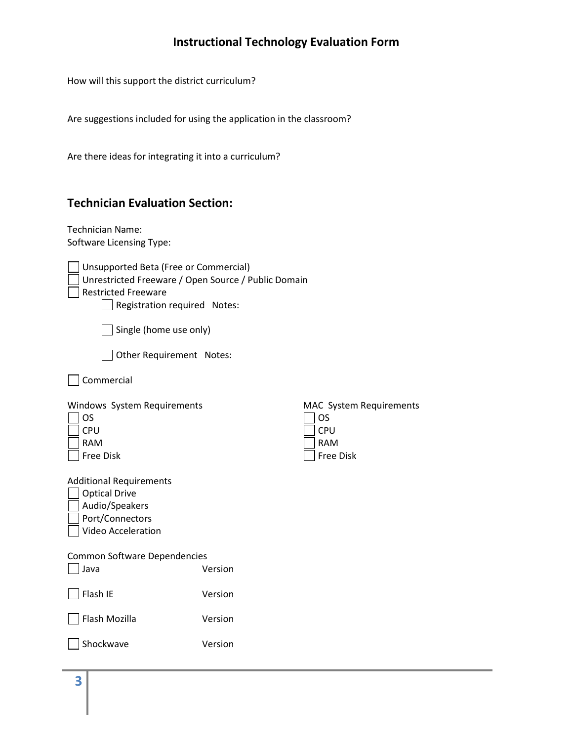How will this support the district curriculum?

Are suggestions included for using the application in the classroom?

Are there ideas for integrating it into a curriculum?

## **Technician Evaluation Section:**

Technician Name: Software Licensing Type:

| Unsupported Beta (Free or Commercial)<br>Unrestricted Freeware / Open Source / Public Domain<br><b>Restricted Freeware</b><br>Registration required Notes: |         |                                                                               |
|------------------------------------------------------------------------------------------------------------------------------------------------------------|---------|-------------------------------------------------------------------------------|
| Single (home use only)                                                                                                                                     |         |                                                                               |
| Other Requirement Notes:                                                                                                                                   |         |                                                                               |
| Commercial                                                                                                                                                 |         |                                                                               |
| Windows System Requirements<br>OS<br>CPU<br><b>RAM</b><br><b>Free Disk</b>                                                                                 |         | MAC System Requirements<br><b>OS</b><br>CPU<br><b>RAM</b><br><b>Free Disk</b> |
| <b>Additional Requirements</b><br><b>Optical Drive</b><br>Audio/Speakers<br>Port/Connectors<br>Video Acceleration                                          |         |                                                                               |
| <b>Common Software Dependencies</b><br>Java                                                                                                                | Version |                                                                               |
| Flash IE                                                                                                                                                   | Version |                                                                               |
| Flash Mozilla                                                                                                                                              | Version |                                                                               |
| Shockwave                                                                                                                                                  | Version |                                                                               |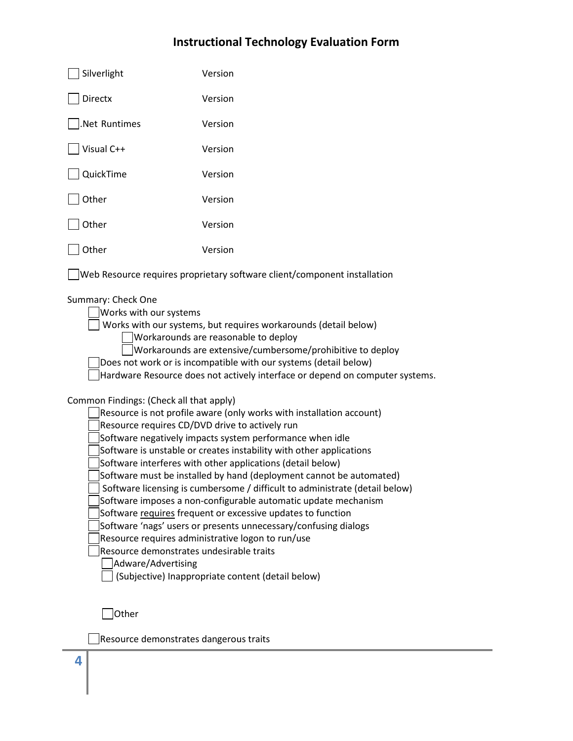| Silverlight                                                                                                                                                                                                                                                                                                                                                                                                                                                                                                                                                                                                                                                                                                                                                                                                                                                                                                                                                                                                                                                                                                                                                                                                                                                                           | Version                                                                  |
|---------------------------------------------------------------------------------------------------------------------------------------------------------------------------------------------------------------------------------------------------------------------------------------------------------------------------------------------------------------------------------------------------------------------------------------------------------------------------------------------------------------------------------------------------------------------------------------------------------------------------------------------------------------------------------------------------------------------------------------------------------------------------------------------------------------------------------------------------------------------------------------------------------------------------------------------------------------------------------------------------------------------------------------------------------------------------------------------------------------------------------------------------------------------------------------------------------------------------------------------------------------------------------------|--------------------------------------------------------------------------|
| <b>Directx</b>                                                                                                                                                                                                                                                                                                                                                                                                                                                                                                                                                                                                                                                                                                                                                                                                                                                                                                                                                                                                                                                                                                                                                                                                                                                                        | Version                                                                  |
| Net Runtimes                                                                                                                                                                                                                                                                                                                                                                                                                                                                                                                                                                                                                                                                                                                                                                                                                                                                                                                                                                                                                                                                                                                                                                                                                                                                          | Version                                                                  |
| Visual C++                                                                                                                                                                                                                                                                                                                                                                                                                                                                                                                                                                                                                                                                                                                                                                                                                                                                                                                                                                                                                                                                                                                                                                                                                                                                            | Version                                                                  |
| QuickTime                                                                                                                                                                                                                                                                                                                                                                                                                                                                                                                                                                                                                                                                                                                                                                                                                                                                                                                                                                                                                                                                                                                                                                                                                                                                             | Version                                                                  |
| Other                                                                                                                                                                                                                                                                                                                                                                                                                                                                                                                                                                                                                                                                                                                                                                                                                                                                                                                                                                                                                                                                                                                                                                                                                                                                                 | Version                                                                  |
| Other                                                                                                                                                                                                                                                                                                                                                                                                                                                                                                                                                                                                                                                                                                                                                                                                                                                                                                                                                                                                                                                                                                                                                                                                                                                                                 | Version                                                                  |
| Other                                                                                                                                                                                                                                                                                                                                                                                                                                                                                                                                                                                                                                                                                                                                                                                                                                                                                                                                                                                                                                                                                                                                                                                                                                                                                 | Version                                                                  |
|                                                                                                                                                                                                                                                                                                                                                                                                                                                                                                                                                                                                                                                                                                                                                                                                                                                                                                                                                                                                                                                                                                                                                                                                                                                                                       | Web Resource requires proprietary software client/component installation |
| Summary: Check One<br>Works with our systems<br>Works with our systems, but requires workarounds (detail below)<br>Workarounds are reasonable to deploy<br>Workarounds are extensive/cumbersome/prohibitive to deploy<br>Does not work or is incompatible with our systems (detail below)<br>Hardware Resource does not actively interface or depend on computer systems.<br>Common Findings: (Check all that apply)<br>Resource is not profile aware (only works with installation account)<br>Resource requires CD/DVD drive to actively run<br>Software negatively impacts system performance when idle<br>Software is unstable or creates instability with other applications<br>Software interferes with other applications (detail below)<br>Software must be installed by hand (deployment cannot be automated)<br>Software licensing is cumbersome / difficult to administrate (detail below)<br>Software imposes a non-configurable automatic update mechanism<br>Software requires frequent or excessive updates to function<br>Software 'nags' users or presents unnecessary/confusing dialogs<br>Resource requires administrative logon to run/use<br>Resource demonstrates undesirable traits<br>Adware/Advertising<br>(Subjective) Inappropriate content (detail below) |                                                                          |

Resource demonstrates dangerous traits

**4**

Other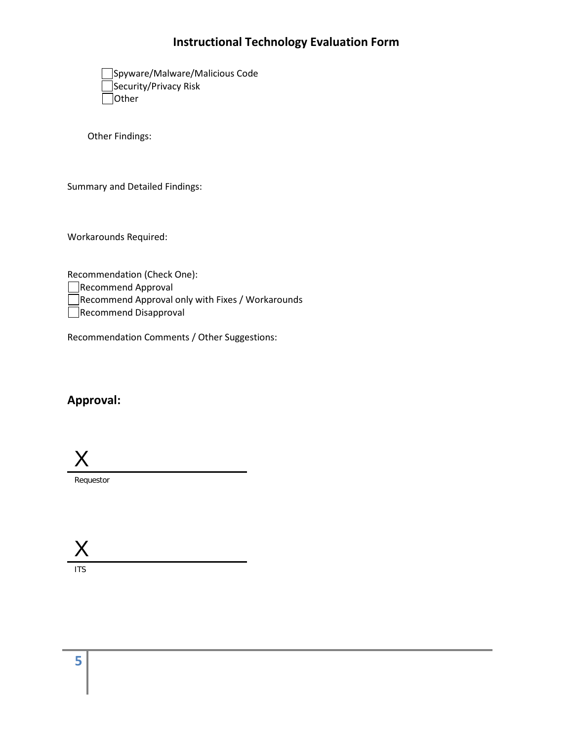| Spyware/Malware/Malicious Code |
|--------------------------------|
| Security/Privacy Risk          |
| Other                          |

Other Findings:

Summary and Detailed Findings:

Workarounds Required:

Recommendation (Check One): Recommend Approval Recommend Approval only with Fixes / Workarounds

Recommend Disapproval

Recommendation Comments / Other Suggestions:

#### **Approval:**

X

Requestor

 $\sf{X}$ 

ITS